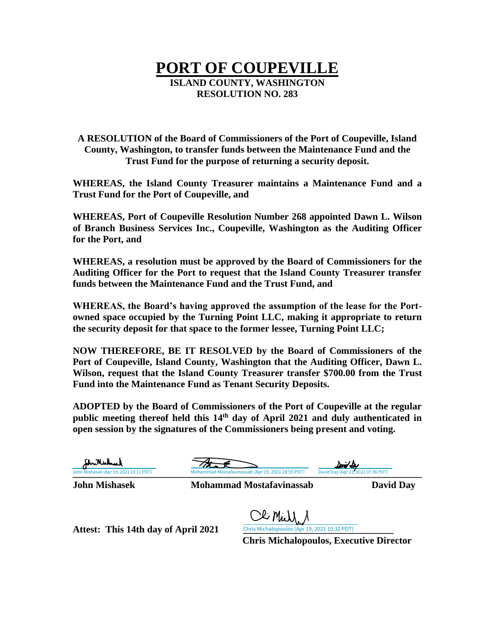## **PORT OF COUPEVILLE ISLAND COUNTY, WASHINGTON RESOLUTION NO. 283**

**A RESOLUTION of the Board of Commissioners of the Port of Coupeville, Island County, Washington, to transfer funds between the Maintenance Fund and the Trust Fund for the purpose of returning a security deposit.**

**WHEREAS, the Island County Treasurer maintains a Maintenance Fund and a Trust Fund for the Port of Coupeville, and**

**WHEREAS, Port of Coupeville Resolution Number 268 appointed Dawn L. Wilson of Branch Business Services Inc., Coupeville, Washington as the Auditing Officer for the Port, and**

**WHEREAS, a resolution must be approved by the Board of Commissioners for the Auditing Officer for the Port to request that the Island County Treasurer transfer funds between the Maintenance Fund and the Trust Fund, and**

**WHEREAS, the Board's having approved the assumption of the lease for the Portowned space occupied by the Turning Point LLC, making it appropriate to return the security deposit for that space to the former lessee, Turning Point LLC;**

**NOW THEREFORE, BE IT RESOLVED by the Board of Commissioners of the Port of Coupeville, Island County, Washington that the Auditing Officer, Dawn L. Wilson, request that the Island County Treasurer transfer \$700.00 from the Trust Fund into the Maintenance Fund as Tenant Security Deposits.**

**ADOPTED by the Board of Commissioners of the Port of Coupeville at the regular public meeting thereof held this 14 th day of April 2021 and duly authenticated in open session by the signatures of the Commissioners being present and voting.**

| StriNishal<br>John Mishasek (Apr 19, 2021 10:11 PDT) | Mohammad Mostafavinassab (Apr 19, 2021 18:55 PDT)                                                          | David Dex<br>David Day (Apr 21, 2021 07:36 PDT) |                  |
|------------------------------------------------------|------------------------------------------------------------------------------------------------------------|-------------------------------------------------|------------------|
| <b>John Mishasek</b>                                 | <b>Mohammad Mostafavinassab</b>                                                                            |                                                 | <b>David Day</b> |
| Attest: This 14th day of April 2021                  | Cli Mich<br>Chris Michalopoulos (Apr 19, 2021 10:32 PDT)<br><b>Chris Michalopoulos, Executive Director</b> |                                                 |                  |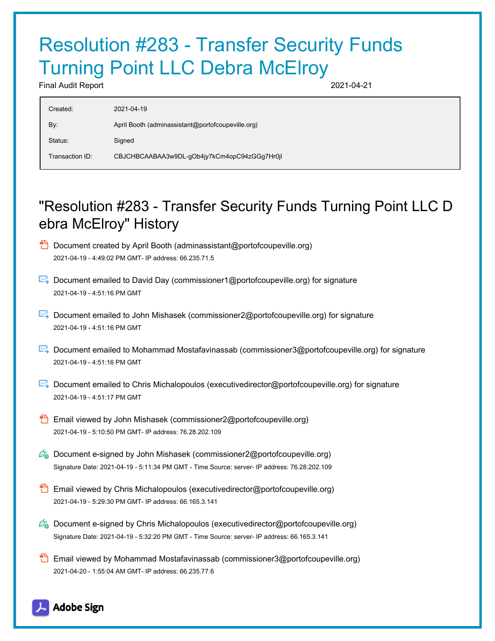## Resolution #283 - Transfer Security Funds **Turning Point LLC Debra McElroy**

Final Audit Report 2021-04-21

| Created:        | 2021-04-19                                        |
|-----------------|---------------------------------------------------|
| By:             | April Booth (adminassistant@portofcoupeville.org) |
| Status:         | Signed                                            |
| Transaction ID: | CBJCHBCAABAA3w9DL-gOb4jy7kCm4opC94zGGg7Hr0jl      |
|                 |                                                   |

## "Resolution #283 - Transfer Security Funds Turning Point LLC D ebra McElroy" History

- **D** Document created by April Booth (adminassistant@portofcoupeville.org) 2021-04-19 - 4:49:02 PM GMT- IP address: 66.235.71.5
- Document emailed to David Day (commissioner1@portofcoupeville.org) for signature 2021-04-19 - 4:51:16 PM GMT
- Document emailed to John Mishasek (commissioner2@portofcoupeville.org) for signature 2021-04-19 - 4:51:16 PM GMT
- Document emailed to Mohammad Mostafavinassab (commissioner3@portofcoupeville.org) for signature 2021-04-19 - 4:51:16 PM GMT
- Document emailed to Chris Michalopoulos (executivedirector@portofcoupeville.org) for signature 2021-04-19 - 4:51:17 PM GMT
- **Email viewed by John Mishasek (commissioner2@portofcoupeville.org)** 2021-04-19 - 5:10:50 PM GMT- IP address: 76.28.202.109
- $\mathcal{O}_0$  Document e-signed by John Mishasek (commissioner2@portofcoupeville.org) Signature Date: 2021-04-19 - 5:11:34 PM GMT - Time Source: server- IP address: 76.28.202.109
- Email viewed by Chris Michalopoulos (executivedirector@portofcoupeville.org) 2021-04-19 - 5:29:30 PM GMT- IP address: 66.165.3.141
- $\mathscr{O}_\bullet$  Document e-signed by Chris Michalopoulos (executivedirector@portofcoupeville.org) Signature Date: 2021-04-19 - 5:32:20 PM GMT - Time Source: server- IP address: 66.165.3.141
- Email viewed by Mohammad Mostafavinassab (commissioner3@portofcoupeville.org) 2021-04-20 - 1:55:04 AM GMT- IP address: 66.235.77.6

## **Adobe Sign**